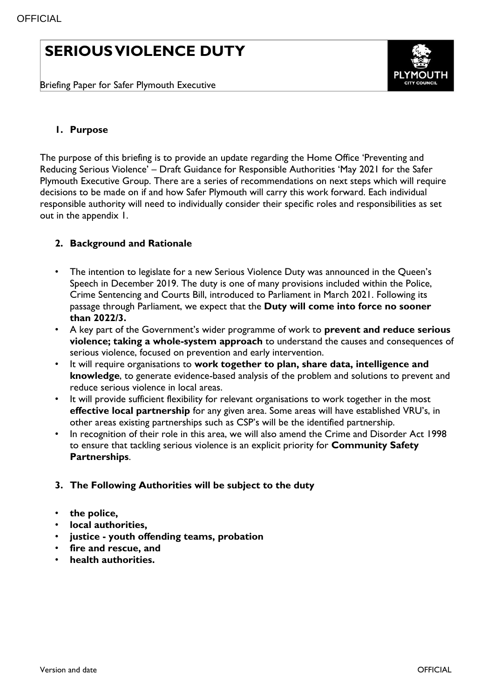# **SERIOUS VIOLENCE DUTY**

Briefing Paper for Safer Plymouth Executive



# **1. Purpose**

The purpose of this briefing is to provide an update regarding the Home Office 'Preventing and Reducing Serious Violence' – Draft Guidance for Responsible Authorities 'May 2021 for the Safer Plymouth Executive Group. There are a series of recommendations on next steps which will require decisions to be made on if and how Safer Plymouth will carry this work forward. Each individual responsible authority will need to individually consider their specific roles and responsibilities as set out in the appendix 1.

# **2. Background and Rationale**

- The intention to legislate for a new Serious Violence Duty was announced in the Queen's Speech in December 2019. The duty is one of many provisions included within the Police, Crime Sentencing and Courts Bill, introduced to Parliament in March 2021. Following its passage through Parliament, we expect that the **Duty will come into force no sooner than 2022/3.**
- A key part of the Government's wider programme of work to **prevent and reduce serious violence; taking a whole-system approach** to understand the causes and consequences of serious violence, focused on prevention and early intervention.
- It will require organisations to **work together to plan, share data, intelligence and knowledge**, to generate evidence-based analysis of the problem and solutions to prevent and reduce serious violence in local areas.
- It will provide sufficient flexibility for relevant organisations to work together in the most **effective local partnership** for any given area. Some areas will have established VRU's, in other areas existing partnerships such as CSP's will be the identified partnership.
- In recognition of their role in this area, we will also amend the Crime and Disorder Act 1998 to ensure that tackling serious violence is an explicit priority for **Community Safety Partnerships**.

#### **3. The Following Authorities will be subject to the duty**

- **the police,**
- **local authorities,**
- **justice - youth offending teams, probation**
- **fire and rescue, and**
- **health authorities.**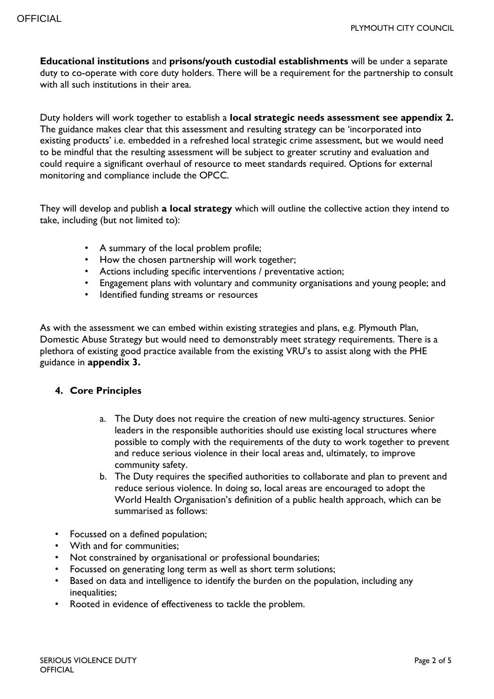**Educational institutions** and **prisons/youth custodial establishments** will be under a separate duty to co-operate with core duty holders. There will be a requirement for the partnership to consult with all such institutions in their area.

Duty holders will work together to establish a **local strategic needs assessment see appendix 2.**  The guidance makes clear that this assessment and resulting strategy can be 'incorporated into existing products' i.e. embedded in a refreshed local strategic crime assessment, but we would need to be mindful that the resulting assessment will be subject to greater scrutiny and evaluation and could require a significant overhaul of resource to meet standards required. Options for external monitoring and compliance include the OPCC.

They will develop and publish **a local strategy** which will outline the collective action they intend to take, including (but not limited to):

- A summary of the local problem profile;
- How the chosen partnership will work together;
- Actions including specific interventions / preventative action;
- Engagement plans with voluntary and community organisations and young people; and
- Identified funding streams or resources

As with the assessment we can embed within existing strategies and plans, e.g. Plymouth Plan, Domestic Abuse Strategy but would need to demonstrably meet strategy requirements. There is a plethora of existing good practice available from the existing VRU's to assist along with the PHE guidance in **appendix 3.**

#### **4. Core Principles**

- a. The Duty does not require the creation of new multi-agency structures. Senior leaders in the responsible authorities should use existing local structures where possible to comply with the requirements of the duty to work together to prevent and reduce serious violence in their local areas and, ultimately, to improve community safety.
- b. The Duty requires the specified authorities to collaborate and plan to prevent and reduce serious violence. In doing so, local areas are encouraged to adopt the World Health Organisation's definition of a public health approach, which can be summarised as follows:
- Focussed on a defined population;
- With and for communities;
- Not constrained by organisational or professional boundaries;
- Focussed on generating long term as well as short term solutions;
- Based on data and intelligence to identify the burden on the population, including any inequalities;
- Rooted in evidence of effectiveness to tackle the problem.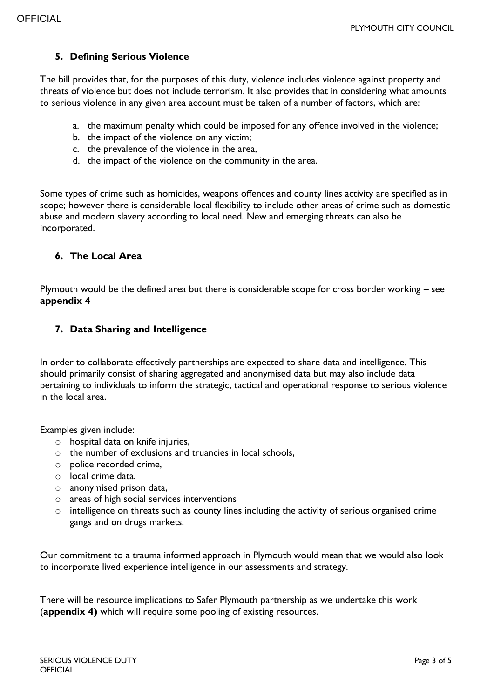# **5. Defining Serious Violence**

The bill provides that, for the purposes of this duty, violence includes violence against property and threats of violence but does not include terrorism. It also provides that in considering what amounts to serious violence in any given area account must be taken of a number of factors, which are:

- a. the maximum penalty which could be imposed for any offence involved in the violence;
- b. the impact of the violence on any victim;
- c. the prevalence of the violence in the area,
- d. the impact of the violence on the community in the area.

Some types of crime such as homicides, weapons offences and county lines activity are specified as in scope; however there is considerable local flexibility to include other areas of crime such as domestic abuse and modern slavery according to local need. New and emerging threats can also be incorporated.

#### **6. The Local Area**

Plymouth would be the defined area but there is considerable scope for cross border working – see **appendix 4**

#### **7. Data Sharing and Intelligence**

In order to collaborate effectively partnerships are expected to share data and intelligence. This should primarily consist of sharing aggregated and anonymised data but may also include data pertaining to individuals to inform the strategic, tactical and operational response to serious violence in the local area.

Examples given include:

- o hospital data on knife injuries,
- o the number of exclusions and truancies in local schools,
- o police recorded crime,
- o local crime data,
- o anonymised prison data,
- o areas of high social services interventions
- o intelligence on threats such as county lines including the activity of serious organised crime gangs and on drugs markets.

Our commitment to a trauma informed approach in Plymouth would mean that we would also look to incorporate lived experience intelligence in our assessments and strategy.

There will be resource implications to Safer Plymouth partnership as we undertake this work (**appendix 4)** which will require some pooling of existing resources.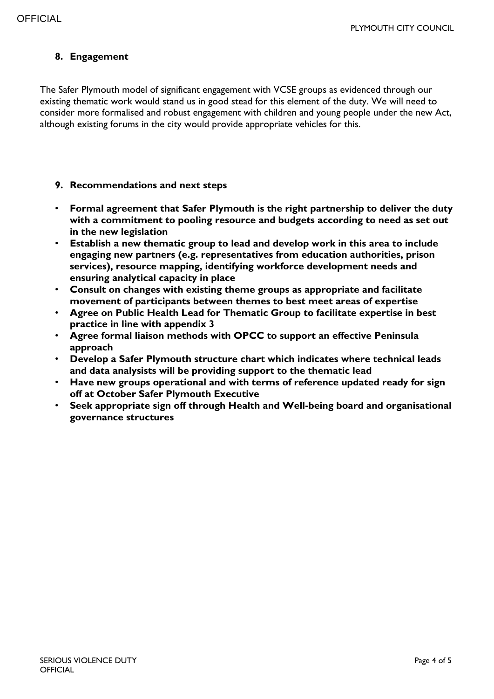# **8. Engagement**

The Safer Plymouth model of significant engagement with VCSE groups as evidenced through our existing thematic work would stand us in good stead for this element of the duty. We will need to consider more formalised and robust engagement with children and young people under the new Act, although existing forums in the city would provide appropriate vehicles for this.

#### **9. Recommendations and next steps**

- **Formal agreement that Safer Plymouth is the right partnership to deliver the duty with a commitment to pooling resource and budgets according to need as set out in the new legislation**
- **Establish a new thematic group to lead and develop work in this area to include engaging new partners (e.g. representatives from education authorities, prison services), resource mapping, identifying workforce development needs and ensuring analytical capacity in place**
- **Consult on changes with existing theme groups as appropriate and facilitate movement of participants between themes to best meet areas of expertise**
- **Agree on Public Health Lead for Thematic Group to facilitate expertise in best practice in line with appendix 3**
- **Agree formal liaison methods with OPCC to support an effective Peninsula approach**
- **Develop a Safer Plymouth structure chart which indicates where technical leads and data analysists will be providing support to the thematic lead**
- **Have new groups operational and with terms of reference updated ready for sign off at October Safer Plymouth Executive**
- **Seek appropriate sign off through Health and Well-being board and organisational governance structures**